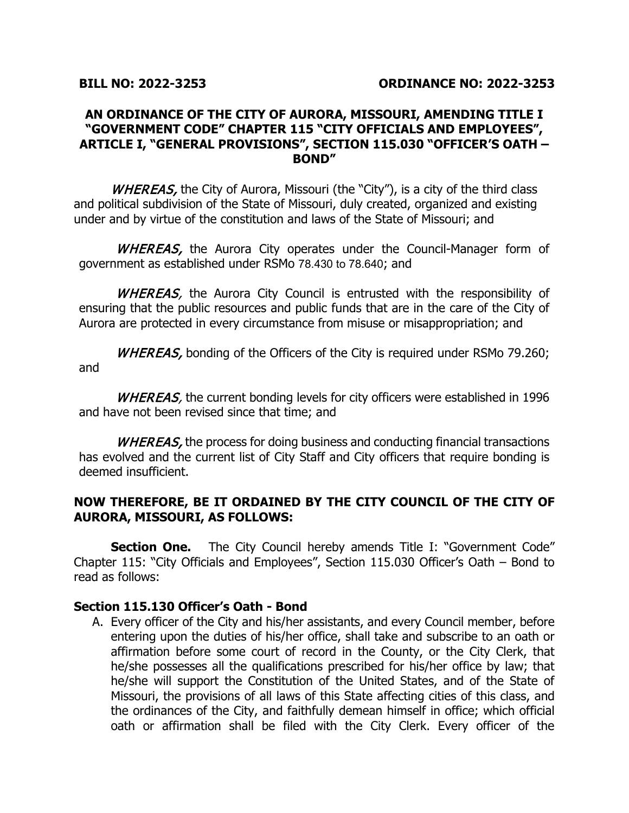## **AN ORDINANCE OF THE CITY OF AURORA, MISSOURI, AMENDING TITLE I "GOVERNMENT CODE" CHAPTER 115 "CITY OFFICIALS AND EMPLOYEES", ARTICLE I, "GENERAL PROVISIONS", SECTION 115.030 "OFFICER'S OATH – BOND"**

WHEREAS, the City of Aurora, Missouri (the "City"), is a city of the third class and political subdivision of the State of Missouri, duly created, organized and existing under and by virtue of the constitution and laws of the State of Missouri; and

WHEREAS, the Aurora City operates under the Council-Manager form of government as established under RSMo 78.430 to 78.640; and

WHEREAS, the Aurora City Council is entrusted with the responsibility of ensuring that the public resources and public funds that are in the care of the City of Aurora are protected in every circumstance from misuse or misappropriation; and

WHEREAS, bonding of the Officers of the City is required under RSMo 79.260; and

WHEREAS, the current bonding levels for city officers were established in 1996 and have not been revised since that time; and

WHEREAS, the process for doing business and conducting financial transactions has evolved and the current list of City Staff and City officers that require bonding is deemed insufficient.

## **NOW THEREFORE, BE IT ORDAINED BY THE CITY COUNCIL OF THE CITY OF AURORA, MISSOURI, AS FOLLOWS:**

**Section One.** The City Council hereby amends Title I: "Government Code" Chapter 115: "City Officials and Employees", Section 115.030 Officer's Oath – Bond to read as follows:

## **Section 115.130 Officer's Oath - Bond**

A. Every officer of the City and his/her assistants, and every Council member, before entering upon the duties of his/her office, shall take and subscribe to an oath or affirmation before some court of record in the County, or the City Clerk, that he/she possesses all the qualifications prescribed for his/her office by law; that he/she will support the Constitution of the United States, and of the State of Missouri, the provisions of all laws of this State affecting cities of this class, and the ordinances of the City, and faithfully demean himself in office; which official oath or affirmation shall be filed with the City Clerk. Every officer of the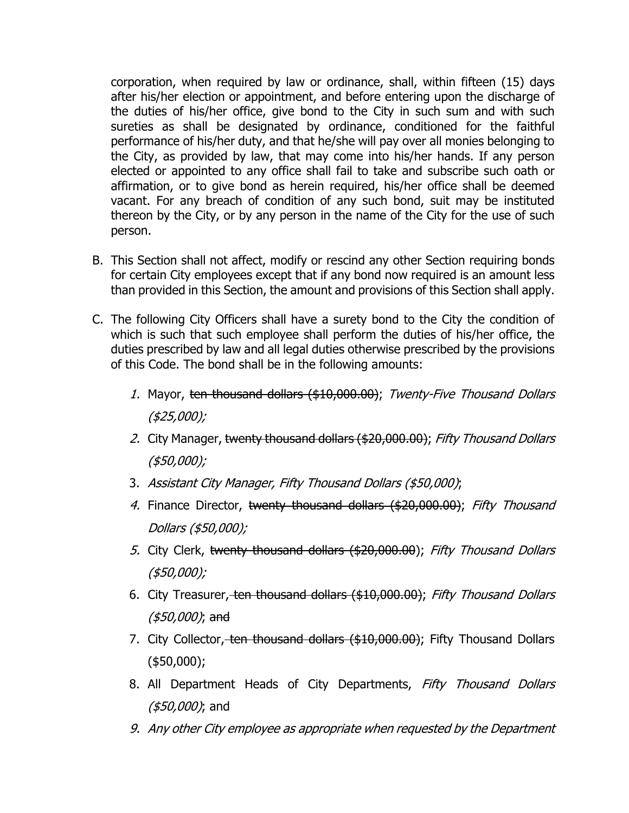corporation, when required by law or ordinance, shall, within fifteen (15) days after his/her election or appointment, and before entering upon the discharge of the duties of his/her office, give bond to the City in such sum and with such sureties as shall be designated by ordinance, conditioned for the faithful performance of his/her duty, and that he/she will pay over all monies belonging to the City, as provided by law, that may come into his/her hands. If any person elected or appointed to any office shall fail to take and subscribe such oath or affirmation, or to give bond as herein required, his/her office shall be deemed vacant. For any breach of condition of any such bond, suit may be instituted thereon by the City, or by any person in the name of the City for the use of such person.

- B. This Section shall not affect, modify or rescind any other Section requiring bonds for certain City employees except that if any bond now required is an amount less than provided in this Section, the amount and provisions of this Section shall apply.
- C. The following City Officers shall have a surety bond to the City the condition of which is such that such employee shall perform the duties of his/her office, the duties prescribed by law and all legal duties otherwise prescribed by the provisions of this Code. The bond shall be in the following amounts:
	- 1. Mayor, ten thousand dollars (\$10,000.00); Twenty-Five Thousand Dollars (\$25,000);
	- 2. City Manager, twenty thousand dollars (\$20,000.00); Fifty Thousand Dollars (\$50,000);
	- 3. Assistant City Manager, Fifty Thousand Dollars (\$50,000);
	- 4. Finance Director, twenty thousand dollars (\$20,000.00); Fifty Thousand Dollars (\$50,000);
	- 5. City Clerk, twenty thousand dollars (\$20,000.00); Fifty Thousand Dollars (\$50,000);
	- 6. City Treasurer, ten thousand dollars (\$10,000.00); Fifty Thousand Dollars (\$50,000); and
	- 7. City Collector, ten thousand dollars (\$10,000.00); Fifty Thousand Dollars (\$50,000);
	- 8. All Department Heads of City Departments, Fifty Thousand Dollars (\$50,000); and
	- 9. Any other City employee as appropriate when requested by the Department